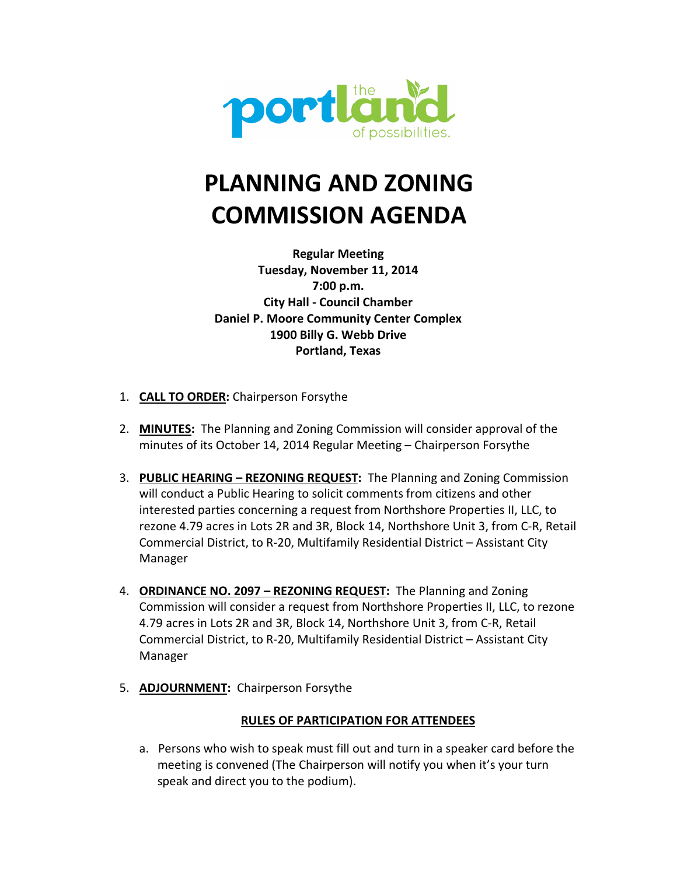

# **PLANNING AND ZONING COMMISSION AGENDA**

**Regular Meeting Tuesday, November 11, 2014 7:00 p.m. City Hall - Council Chamber Daniel P. Moore Community Center Complex 1900 Billy G. Webb Drive Portland, Texas**

- 1. **CALL TO ORDER:** Chairperson Forsythe
- 2. **MINUTES:** The Planning and Zoning Commission will consider approval of the minutes of its October 14, 2014 Regular Meeting – Chairperson Forsythe
- 3. **PUBLIC HEARING REZONING REQUEST:** The Planning and Zoning Commission will conduct a Public Hearing to solicit comments from citizens and other interested parties concerning a request from Northshore Properties II, LLC, to rezone 4.79 acres in Lots 2R and 3R, Block 14, Northshore Unit 3, from C-R, Retail Commercial District, to R-20, Multifamily Residential District – Assistant City Manager
- 4. **ORDINANCE NO. 2097 REZONING REQUEST:** The Planning and Zoning Commission will consider a request from Northshore Properties II, LLC, to rezone 4.79 acres in Lots 2R and 3R, Block 14, Northshore Unit 3, from C-R, Retail Commercial District, to R-20, Multifamily Residential District – Assistant City Manager
- 5. **ADJOURNMENT:** Chairperson Forsythe

#### **RULES OF PARTICIPATION FOR ATTENDEES**

a. Persons who wish to speak must fill out and turn in a speaker card before the meeting is convened (The Chairperson will notify you when it's your turn speak and direct you to the podium).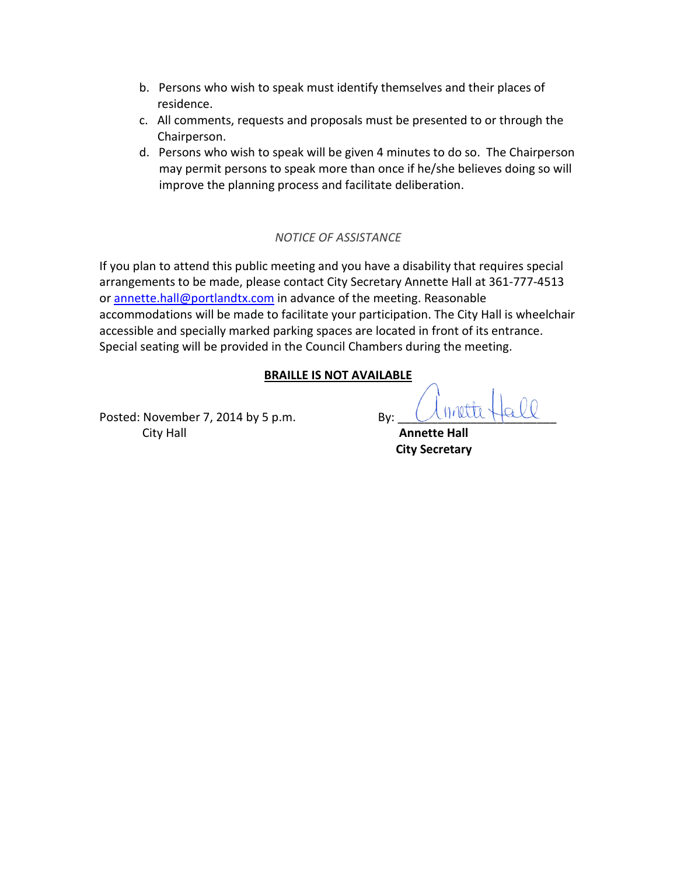- b. Persons who wish to speak must identify themselves and their places of residence.
- c. All comments, requests and proposals must be presented to or through the Chairperson.
- d. Persons who wish to speak will be given 4 minutes to do so. The Chairperson may permit persons to speak more than once if he/she believes doing so will improve the planning process and facilitate deliberation.

#### *NOTICE OF ASSISTANCE*

If you plan to attend this public meeting and you have a disability that requires special arrangements to be made, please contact City Secretary Annette Hall at 361-777-4513 or annette.hall@portlandtx.com in advance of the meeting. Reasonable accommodations will be made to facilitate your participation. The City Hall is wheelchair accessible and specially marked parking spaces are located in front of its entrance. Special seating will be provided in the Council Chambers during the meeting.

#### **BRAILLE IS NOT AVAILABLE**

Posted: November 7, 2014 by 5 p.m. **By:** By: *City Hall* **Annette Hall** 

 **City Secretary**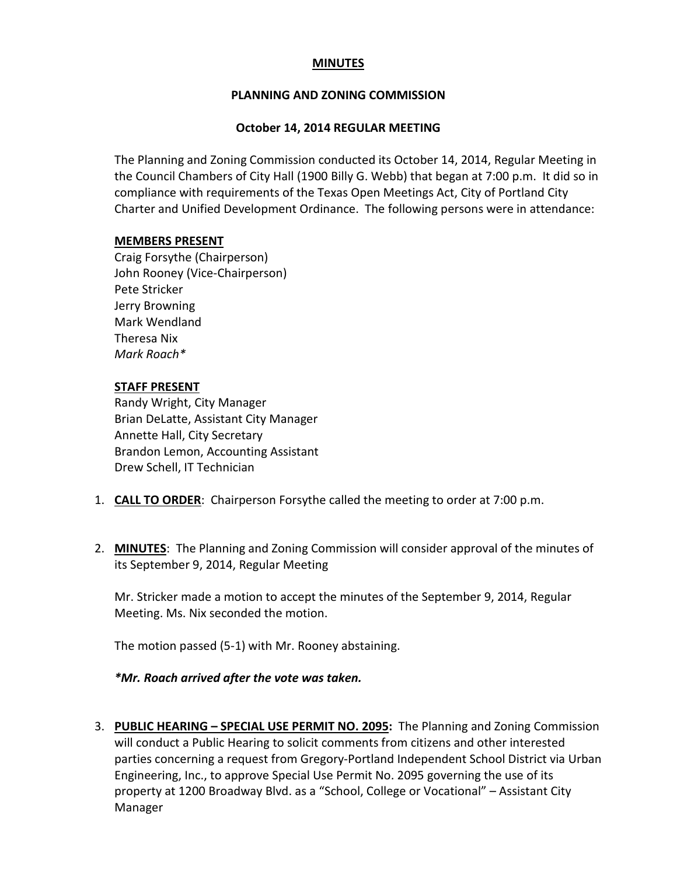#### **MINUTES**

#### **PLANNING AND ZONING COMMISSION**

#### **October 14, 2014 REGULAR MEETING**

The Planning and Zoning Commission conducted its October 14, 2014, Regular Meeting in the Council Chambers of City Hall (1900 Billy G. Webb) that began at 7:00 p.m. It did so in compliance with requirements of the Texas Open Meetings Act, City of Portland City Charter and Unified Development Ordinance. The following persons were in attendance:

#### **MEMBERS PRESENT**

Craig Forsythe (Chairperson) John Rooney (Vice-Chairperson) Pete Stricker Jerry Browning Mark Wendland Theresa Nix *Mark Roach\** 

#### **STAFF PRESENT**

Randy Wright, City Manager Brian DeLatte, Assistant City Manager Annette Hall, City Secretary Brandon Lemon, Accounting Assistant Drew Schell, IT Technician

- 1. **CALL TO ORDER**: Chairperson Forsythe called the meeting to order at 7:00 p.m.
- 2. **MINUTES**: The Planning and Zoning Commission will consider approval of the minutes of its September 9, 2014, Regular Meeting

Mr. Stricker made a motion to accept the minutes of the September 9, 2014, Regular Meeting. Ms. Nix seconded the motion.

The motion passed (5-1) with Mr. Rooney abstaining.

*\*Mr. Roach arrived after the vote was taken.* 

3. **PUBLIC HEARING – SPECIAL USE PERMIT NO. 2095:** The Planning and Zoning Commission will conduct a Public Hearing to solicit comments from citizens and other interested parties concerning a request from Gregory-Portland Independent School District via Urban Engineering, Inc., to approve Special Use Permit No. 2095 governing the use of its property at 1200 Broadway Blvd. as a "School, College or Vocational" – Assistant City Manager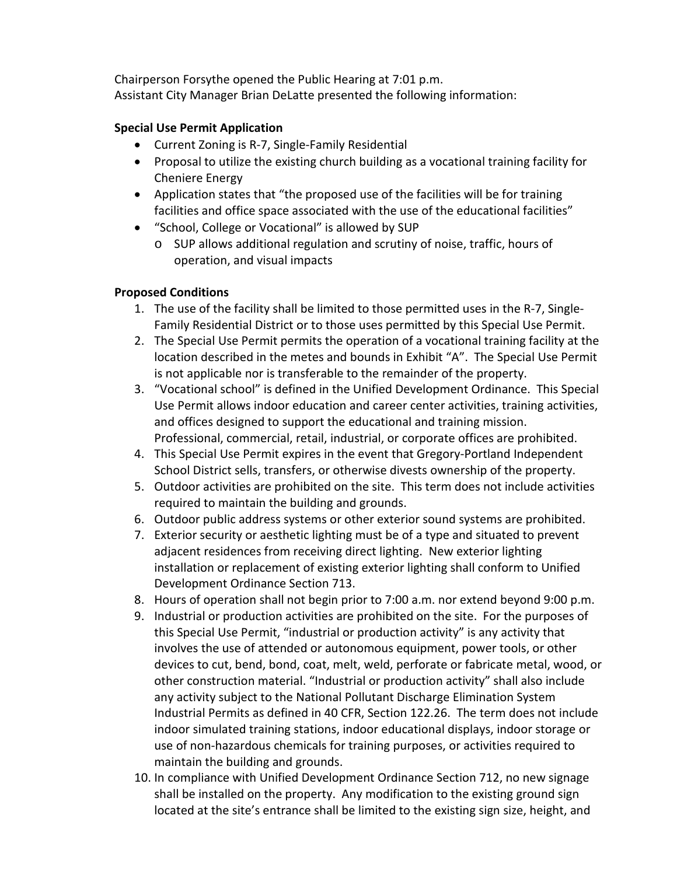Chairperson Forsythe opened the Public Hearing at 7:01 p.m. Assistant City Manager Brian DeLatte presented the following information:

#### **Special Use Permit Application**

- Current Zoning is R-7, Single-Family Residential
- Proposal to utilize the existing church building as a vocational training facility for Cheniere Energy
- Application states that "the proposed use of the facilities will be for training facilities and office space associated with the use of the educational facilities"
- "School, College or Vocational" is allowed by SUP
	- o SUP allows additional regulation and scrutiny of noise, traffic, hours of operation, and visual impacts

#### **Proposed Conditions**

- 1. The use of the facility shall be limited to those permitted uses in the R-7, Single-Family Residential District or to those uses permitted by this Special Use Permit.
- 2. The Special Use Permit permits the operation of a vocational training facility at the location described in the metes and bounds in Exhibit "A". The Special Use Permit is not applicable nor is transferable to the remainder of the property.
- 3. "Vocational school" is defined in the Unified Development Ordinance. This Special Use Permit allows indoor education and career center activities, training activities, and offices designed to support the educational and training mission. Professional, commercial, retail, industrial, or corporate offices are prohibited.
- 4. This Special Use Permit expires in the event that Gregory-Portland Independent School District sells, transfers, or otherwise divests ownership of the property.
- 5. Outdoor activities are prohibited on the site. This term does not include activities required to maintain the building and grounds.
- 6. Outdoor public address systems or other exterior sound systems are prohibited.
- 7. Exterior security or aesthetic lighting must be of a type and situated to prevent adjacent residences from receiving direct lighting. New exterior lighting installation or replacement of existing exterior lighting shall conform to Unified Development Ordinance Section 713.
- 8. Hours of operation shall not begin prior to 7:00 a.m. nor extend beyond 9:00 p.m.
- 9. Industrial or production activities are prohibited on the site. For the purposes of this Special Use Permit, "industrial or production activity" is any activity that involves the use of attended or autonomous equipment, power tools, or other devices to cut, bend, bond, coat, melt, weld, perforate or fabricate metal, wood, or other construction material. "Industrial or production activity" shall also include any activity subject to the National Pollutant Discharge Elimination System Industrial Permits as defined in 40 CFR, Section 122.26. The term does not include indoor simulated training stations, indoor educational displays, indoor storage or use of non-hazardous chemicals for training purposes, or activities required to maintain the building and grounds.
- 10. In compliance with Unified Development Ordinance Section 712, no new signage shall be installed on the property. Any modification to the existing ground sign located at the site's entrance shall be limited to the existing sign size, height, and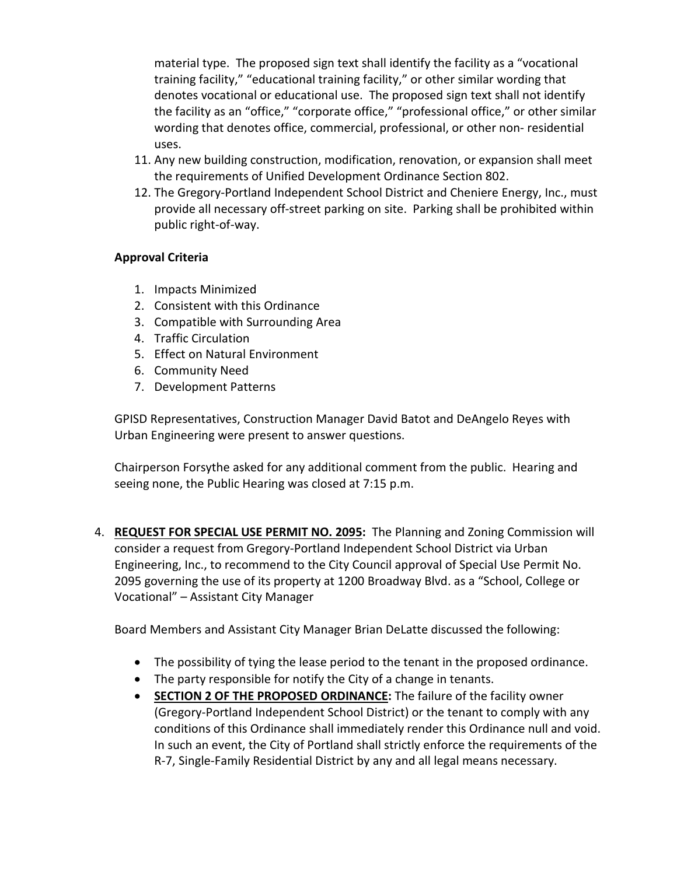material type. The proposed sign text shall identify the facility as a "vocational training facility," "educational training facility," or other similar wording that denotes vocational or educational use. The proposed sign text shall not identify the facility as an "office," "corporate office," "professional office," or other similar wording that denotes office, commercial, professional, or other non- residential uses.

- 11. Any new building construction, modification, renovation, or expansion shall meet the requirements of Unified Development Ordinance Section 802.
- 12. The Gregory-Portland Independent School District and Cheniere Energy, Inc., must provide all necessary off-street parking on site. Parking shall be prohibited within public right-of-way.

#### **Approval Criteria**

- 1. Impacts Minimized
- 2. Consistent with this Ordinance
- 3. Compatible with Surrounding Area
- 4. Traffic Circulation
- 5. Effect on Natural Environment
- 6. Community Need
- 7. Development Patterns

GPISD Representatives, Construction Manager David Batot and DeAngelo Reyes with Urban Engineering were present to answer questions.

Chairperson Forsythe asked for any additional comment from the public. Hearing and seeing none, the Public Hearing was closed at 7:15 p.m.

4. **REQUEST FOR SPECIAL USE PERMIT NO. 2095:** The Planning and Zoning Commission will consider a request from Gregory-Portland Independent School District via Urban Engineering, Inc., to recommend to the City Council approval of Special Use Permit No. 2095 governing the use of its property at 1200 Broadway Blvd. as a "School, College or Vocational" – Assistant City Manager

Board Members and Assistant City Manager Brian DeLatte discussed the following:

- The possibility of tying the lease period to the tenant in the proposed ordinance.
- The party responsible for notify the City of a change in tenants.
- **SECTION 2 OF THE PROPOSED ORDINANCE:** The failure of the facility owner (Gregory-Portland Independent School District) or the tenant to comply with any conditions of this Ordinance shall immediately render this Ordinance null and void. In such an event, the City of Portland shall strictly enforce the requirements of the R-7, Single-Family Residential District by any and all legal means necessary.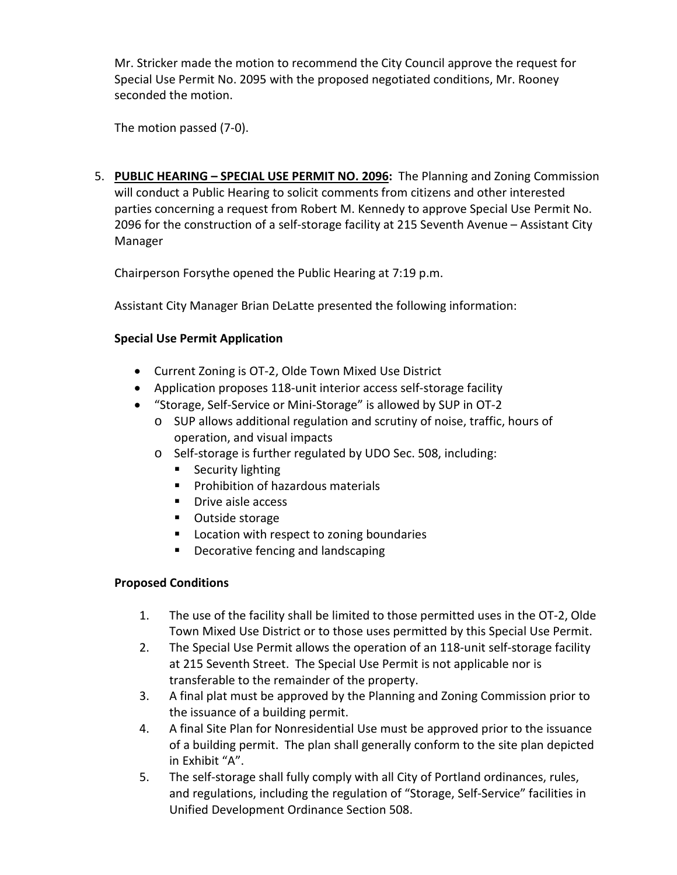Mr. Stricker made the motion to recommend the City Council approve the request for Special Use Permit No. 2095 with the proposed negotiated conditions, Mr. Rooney seconded the motion.

The motion passed (7-0).

5. **PUBLIC HEARING – SPECIAL USE PERMIT NO. 2096:** The Planning and Zoning Commission will conduct a Public Hearing to solicit comments from citizens and other interested parties concerning a request from Robert M. Kennedy to approve Special Use Permit No. 2096 for the construction of a self-storage facility at 215 Seventh Avenue – Assistant City Manager

Chairperson Forsythe opened the Public Hearing at 7:19 p.m.

Assistant City Manager Brian DeLatte presented the following information:

#### **Special Use Permit Application**

- Current Zoning is OT-2, Olde Town Mixed Use District
- Application proposes 118-unit interior access self-storage facility
- "Storage, Self-Service or Mini-Storage" is allowed by SUP in OT-2
	- o SUP allows additional regulation and scrutiny of noise, traffic, hours of operation, and visual impacts
	- o Self-storage is further regulated by UDO Sec. 508, including:
		- Security lighting
		- **Prohibition of hazardous materials**
		- **Drive aisle access**
		- Outside storage
		- **Location with respect to zoning boundaries**
		- **•** Decorative fencing and landscaping

#### **Proposed Conditions**

- 1. The use of the facility shall be limited to those permitted uses in the OT-2, Olde Town Mixed Use District or to those uses permitted by this Special Use Permit.
- 2. The Special Use Permit allows the operation of an 118-unit self-storage facility at 215 Seventh Street. The Special Use Permit is not applicable nor is transferable to the remainder of the property.
- 3. A final plat must be approved by the Planning and Zoning Commission prior to the issuance of a building permit.
- 4. A final Site Plan for Nonresidential Use must be approved prior to the issuance of a building permit. The plan shall generally conform to the site plan depicted in Exhibit "A".
- 5. The self-storage shall fully comply with all City of Portland ordinances, rules, and regulations, including the regulation of "Storage, Self-Service" facilities in Unified Development Ordinance Section 508.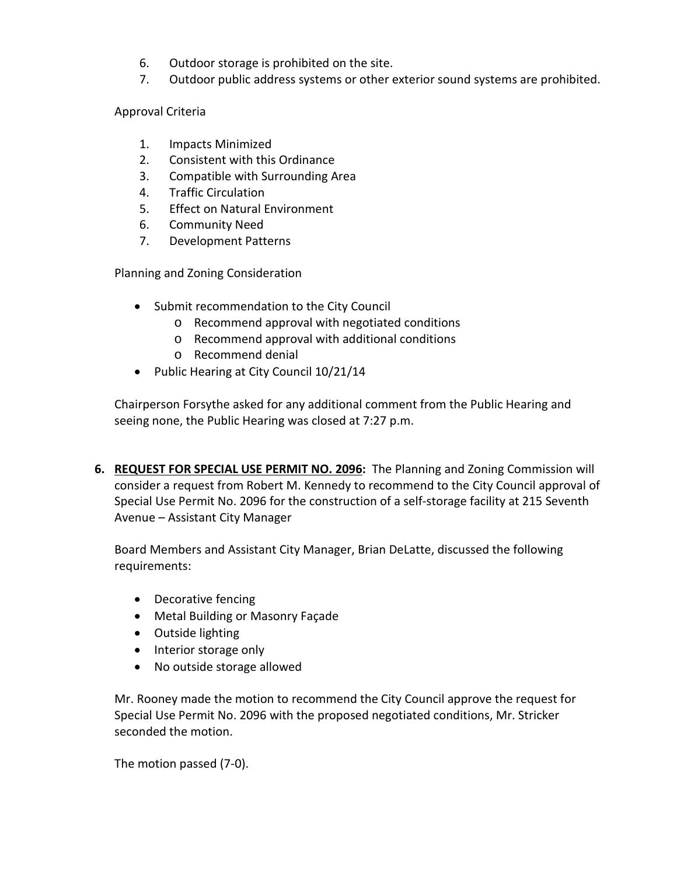- 6. Outdoor storage is prohibited on the site.
- 7. Outdoor public address systems or other exterior sound systems are prohibited.

#### Approval Criteria

- 1. Impacts Minimized
- 2. Consistent with this Ordinance
- 3. Compatible with Surrounding Area
- 4. Traffic Circulation
- 5. Effect on Natural Environment
- 6. Community Need
- 7. Development Patterns

Planning and Zoning Consideration

- Submit recommendation to the City Council
	- o Recommend approval with negotiated conditions
	- o Recommend approval with additional conditions
	- o Recommend denial
- Public Hearing at City Council 10/21/14

Chairperson Forsythe asked for any additional comment from the Public Hearing and seeing none, the Public Hearing was closed at 7:27 p.m.

**6. REQUEST FOR SPECIAL USE PERMIT NO. 2096:** The Planning and Zoning Commission will consider a request from Robert M. Kennedy to recommend to the City Council approval of Special Use Permit No. 2096 for the construction of a self-storage facility at 215 Seventh Avenue – Assistant City Manager

Board Members and Assistant City Manager, Brian DeLatte, discussed the following requirements:

- Decorative fencing
- Metal Building or Masonry Façade
- Outside lighting
- Interior storage only
- No outside storage allowed

Mr. Rooney made the motion to recommend the City Council approve the request for Special Use Permit No. 2096 with the proposed negotiated conditions, Mr. Stricker seconded the motion.

The motion passed (7-0).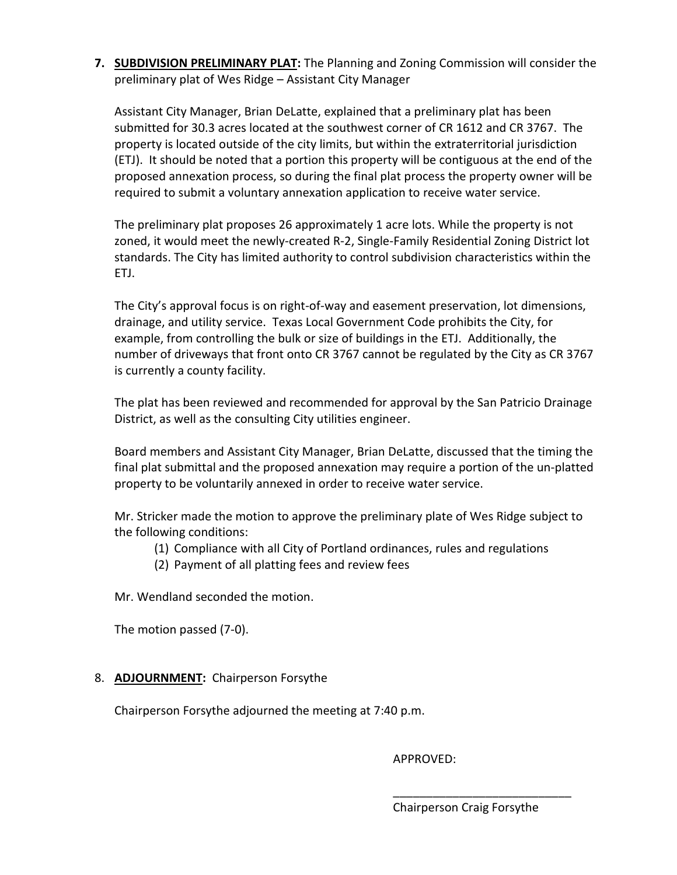**7. SUBDIVISION PRELIMINARY PLAT:** The Planning and Zoning Commission will consider the preliminary plat of Wes Ridge – Assistant City Manager

Assistant City Manager, Brian DeLatte, explained that a preliminary plat has been submitted for 30.3 acres located at the southwest corner of CR 1612 and CR 3767. The property is located outside of the city limits, but within the extraterritorial jurisdiction (ETJ). It should be noted that a portion this property will be contiguous at the end of the proposed annexation process, so during the final plat process the property owner will be required to submit a voluntary annexation application to receive water service.

The preliminary plat proposes 26 approximately 1 acre lots. While the property is not zoned, it would meet the newly-created R-2, Single-Family Residential Zoning District lot standards. The City has limited authority to control subdivision characteristics within the ETJ.

The City's approval focus is on right-of-way and easement preservation, lot dimensions, drainage, and utility service. Texas Local Government Code prohibits the City, for example, from controlling the bulk or size of buildings in the ETJ. Additionally, the number of driveways that front onto CR 3767 cannot be regulated by the City as CR 3767 is currently a county facility.

The plat has been reviewed and recommended for approval by the San Patricio Drainage District, as well as the consulting City utilities engineer.

Board members and Assistant City Manager, Brian DeLatte, discussed that the timing the final plat submittal and the proposed annexation may require a portion of the un-platted property to be voluntarily annexed in order to receive water service.

Mr. Stricker made the motion to approve the preliminary plate of Wes Ridge subject to the following conditions:

- (1) Compliance with all City of Portland ordinances, rules and regulations
- (2) Payment of all platting fees and review fees

Mr. Wendland seconded the motion.

The motion passed (7-0).

#### 8. **ADJOURNMENT:** Chairperson Forsythe

Chairperson Forsythe adjourned the meeting at 7:40 p.m.

 $\overline{\phantom{a}}$  , and the contract of the contract of the contract of the contract of the contract of the contract of the contract of the contract of the contract of the contract of the contract of the contract of the contrac

APPROVED:

Chairperson Craig Forsythe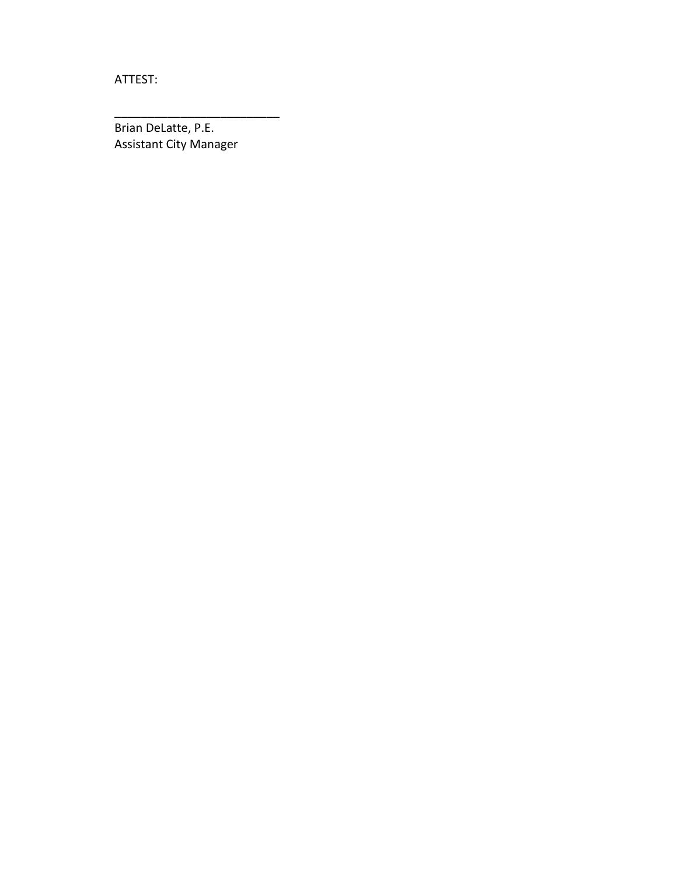ATTEST:

Brian DeLatte, P.E. Assistant City Manager

\_\_\_\_\_\_\_\_\_\_\_\_\_\_\_\_\_\_\_\_\_\_\_\_\_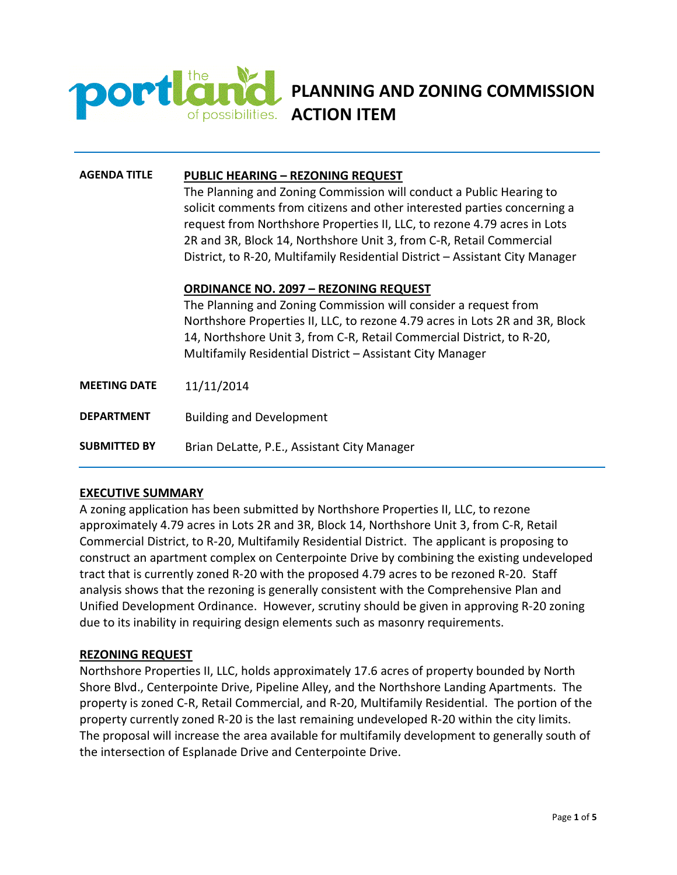

**PLANNING AND ZONING COMMISSION**  of possibilities. **ACTION ITEM** 

#### **AGENDA TITLE PUBLIC HEARING – REZONING REQUEST**

The Planning and Zoning Commission will conduct a Public Hearing to solicit comments from citizens and other interested parties concerning a request from Northshore Properties II, LLC, to rezone 4.79 acres in Lots 2R and 3R, Block 14, Northshore Unit 3, from C-R, Retail Commercial District, to R-20, Multifamily Residential District – Assistant City Manager

#### **ORDINANCE NO. 2097 – REZONING REQUEST**

The Planning and Zoning Commission will consider a request from Northshore Properties II, LLC, to rezone 4.79 acres in Lots 2R and 3R, Block 14, Northshore Unit 3, from C-R, Retail Commercial District, to R-20, Multifamily Residential District – Assistant City Manager

- **MEETING DATE** 11/11/2014
- **DEPARTMENT** Building and Development

**SUBMITTED BY** Brian DeLatte, P.E., Assistant City Manager

#### **EXECUTIVE SUMMARY**

A zoning application has been submitted by Northshore Properties II, LLC, to rezone approximately 4.79 acres in Lots 2R and 3R, Block 14, Northshore Unit 3, from C-R, Retail Commercial District, to R-20, Multifamily Residential District. The applicant is proposing to construct an apartment complex on Centerpointe Drive by combining the existing undeveloped tract that is currently zoned R-20 with the proposed 4.79 acres to be rezoned R-20. Staff analysis shows that the rezoning is generally consistent with the Comprehensive Plan and Unified Development Ordinance. However, scrutiny should be given in approving R-20 zoning due to its inability in requiring design elements such as masonry requirements.

#### **REZONING REQUEST**

Northshore Properties II, LLC, holds approximately 17.6 acres of property bounded by North Shore Blvd., Centerpointe Drive, Pipeline Alley, and the Northshore Landing Apartments. The property is zoned C-R, Retail Commercial, and R-20, Multifamily Residential. The portion of the property currently zoned R-20 is the last remaining undeveloped R-20 within the city limits. The proposal will increase the area available for multifamily development to generally south of the intersection of Esplanade Drive and Centerpointe Drive.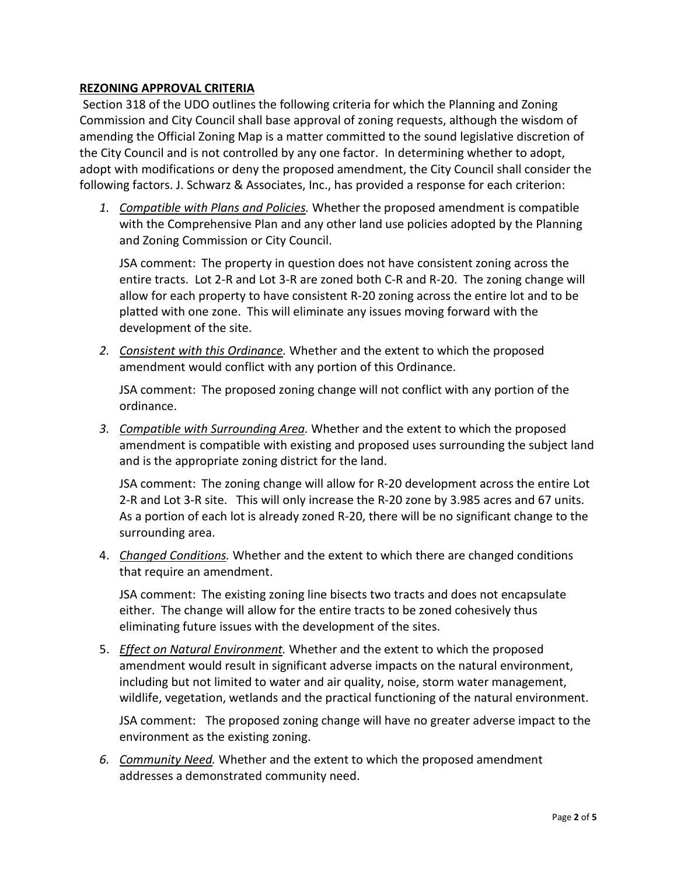#### **REZONING APPROVAL CRITERIA**

Section 318 of the UDO outlines the following criteria for which the Planning and Zoning Commission and City Council shall base approval of zoning requests, although the wisdom of amending the Official Zoning Map is a matter committed to the sound legislative discretion of the City Council and is not controlled by any one factor. In determining whether to adopt, adopt with modifications or deny the proposed amendment, the City Council shall consider the following factors. J. Schwarz & Associates, Inc., has provided a response for each criterion:

*1. Compatible with Plans and Policies.* Whether the proposed amendment is compatible with the Comprehensive Plan and any other land use policies adopted by the Planning and Zoning Commission or City Council.

JSA comment: The property in question does not have consistent zoning across the entire tracts. Lot 2-R and Lot 3-R are zoned both C-R and R-20. The zoning change will allow for each property to have consistent R-20 zoning across the entire lot and to be platted with one zone. This will eliminate any issues moving forward with the development of the site.

*2. Consistent with this Ordinance.* Whether and the extent to which the proposed amendment would conflict with any portion of this Ordinance.

JSA comment: The proposed zoning change will not conflict with any portion of the ordinance.

*3. Compatible with Surrounding Area.* Whether and the extent to which the proposed amendment is compatible with existing and proposed uses surrounding the subject land and is the appropriate zoning district for the land.

JSA comment: The zoning change will allow for R-20 development across the entire Lot 2-R and Lot 3-R site. This will only increase the R-20 zone by 3.985 acres and 67 units. As a portion of each lot is already zoned R-20, there will be no significant change to the surrounding area.

4. *Changed Conditions.* Whether and the extent to which there are changed conditions that require an amendment.

JSA comment: The existing zoning line bisects two tracts and does not encapsulate either. The change will allow for the entire tracts to be zoned cohesively thus eliminating future issues with the development of the sites.

5. *Effect on Natural Environment.* Whether and the extent to which the proposed amendment would result in significant adverse impacts on the natural environment, including but not limited to water and air quality, noise, storm water management, wildlife, vegetation, wetlands and the practical functioning of the natural environment.

JSA comment: The proposed zoning change will have no greater adverse impact to the environment as the existing zoning.

*6. Community Need.* Whether and the extent to which the proposed amendment addresses a demonstrated community need.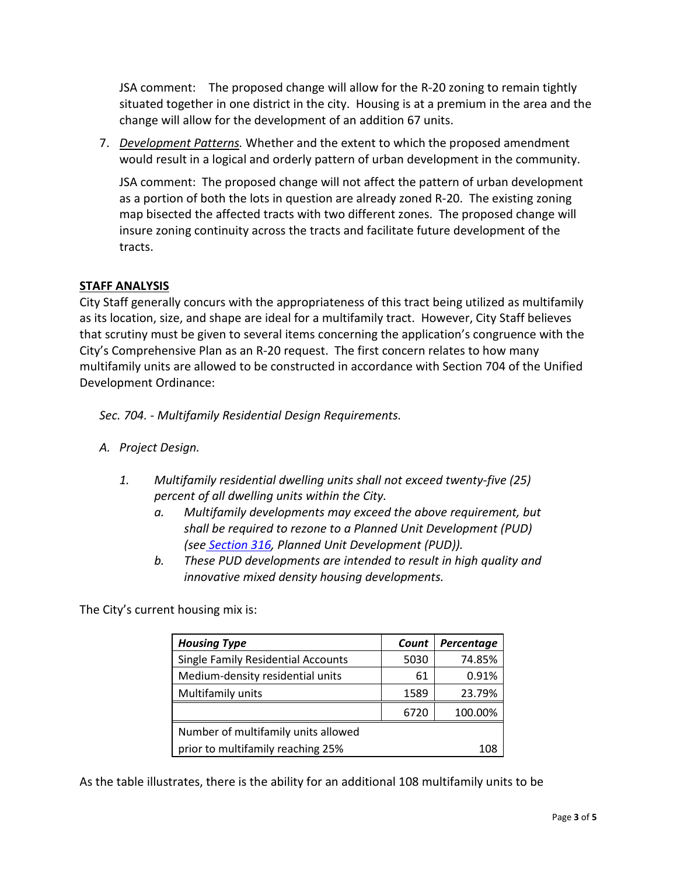JSA comment: The proposed change will allow for the R-20 zoning to remain tightly situated together in one district in the city. Housing is at a premium in the area and the change will allow for the development of an addition 67 units.

7. *Development Patterns.* Whether and the extent to which the proposed amendment would result in a logical and orderly pattern of urban development in the community.

JSA comment: The proposed change will not affect the pattern of urban development as a portion of both the lots in question are already zoned R-20. The existing zoning map bisected the affected tracts with two different zones. The proposed change will insure zoning continuity across the tracts and facilitate future development of the tracts.

#### **STAFF ANALYSIS**

City Staff generally concurs with the appropriateness of this tract being utilized as multifamily as its location, size, and shape are ideal for a multifamily tract. However, City Staff believes that scrutiny must be given to several items concerning the application's congruence with the City's Comprehensive Plan as an R-20 request. The first concern relates to how many multifamily units are allowed to be constructed in accordance with Section 704 of the Unified Development Ordinance:

*Sec. 704. - Multifamily Residential Design Requirements.*

- *A. Project Design.*
	- *1. Multifamily residential dwelling units shall not exceed twenty-five (25) percent of all dwelling units within the City.* 
		- *a. Multifamily developments may exceed the above requirement, but shall be required to rezone to a Planned Unit Development (PUD) (see Section 316, Planned Unit Development (PUD)).*
		- *b. These PUD developments are intended to result in high quality and innovative mixed density housing developments.*

The City's current housing mix is:

| <b>Housing Type</b>                       | Count | Percentage |
|-------------------------------------------|-------|------------|
| <b>Single Family Residential Accounts</b> | 5030  | 74.85%     |
| Medium-density residential units          | 61    | 0.91%      |
| Multifamily units                         | 1589  | 23.79%     |
|                                           | 6720  | 100.00%    |
| Number of multifamily units allowed       |       |            |
| prior to multifamily reaching 25%         |       | 108        |

As the table illustrates, there is the ability for an additional 108 multifamily units to be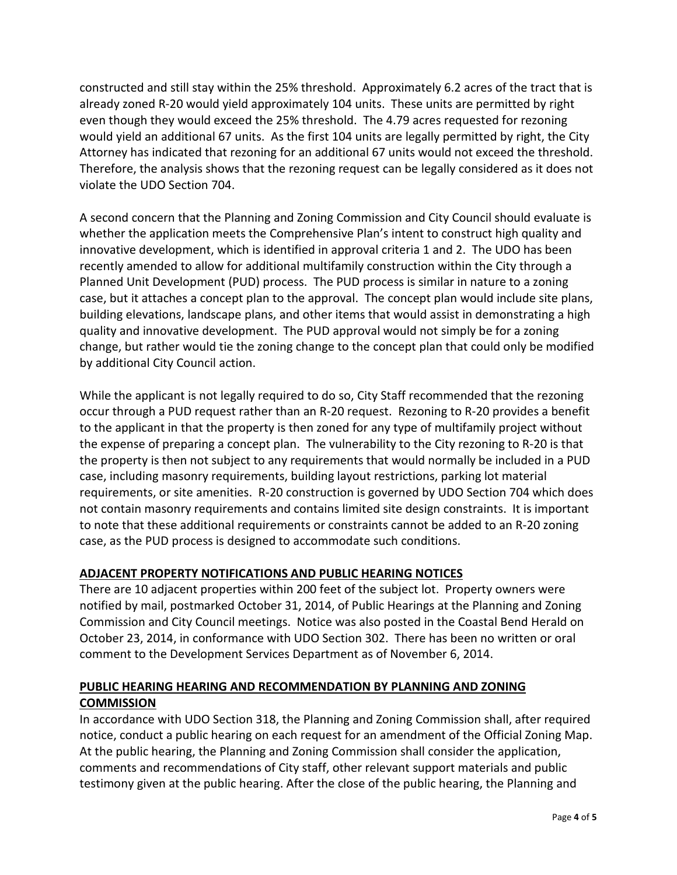constructed and still stay within the 25% threshold. Approximately 6.2 acres of the tract that is already zoned R-20 would yield approximately 104 units. These units are permitted by right even though they would exceed the 25% threshold. The 4.79 acres requested for rezoning would yield an additional 67 units. As the first 104 units are legally permitted by right, the City Attorney has indicated that rezoning for an additional 67 units would not exceed the threshold. Therefore, the analysis shows that the rezoning request can be legally considered as it does not violate the UDO Section 704.

A second concern that the Planning and Zoning Commission and City Council should evaluate is whether the application meets the Comprehensive Plan's intent to construct high quality and innovative development, which is identified in approval criteria 1 and 2. The UDO has been recently amended to allow for additional multifamily construction within the City through a Planned Unit Development (PUD) process. The PUD process is similar in nature to a zoning case, but it attaches a concept plan to the approval. The concept plan would include site plans, building elevations, landscape plans, and other items that would assist in demonstrating a high quality and innovative development. The PUD approval would not simply be for a zoning change, but rather would tie the zoning change to the concept plan that could only be modified by additional City Council action.

While the applicant is not legally required to do so, City Staff recommended that the rezoning occur through a PUD request rather than an R-20 request. Rezoning to R-20 provides a benefit to the applicant in that the property is then zoned for any type of multifamily project without the expense of preparing a concept plan. The vulnerability to the City rezoning to R-20 is that the property is then not subject to any requirements that would normally be included in a PUD case, including masonry requirements, building layout restrictions, parking lot material requirements, or site amenities. R-20 construction is governed by UDO Section 704 which does not contain masonry requirements and contains limited site design constraints. It is important to note that these additional requirements or constraints cannot be added to an R-20 zoning case, as the PUD process is designed to accommodate such conditions.

#### **ADJACENT PROPERTY NOTIFICATIONS AND PUBLIC HEARING NOTICES**

There are 10 adjacent properties within 200 feet of the subject lot. Property owners were notified by mail, postmarked October 31, 2014, of Public Hearings at the Planning and Zoning Commission and City Council meetings. Notice was also posted in the Coastal Bend Herald on October 23, 2014, in conformance with UDO Section 302. There has been no written or oral comment to the Development Services Department as of November 6, 2014.

#### **PUBLIC HEARING HEARING AND RECOMMENDATION BY PLANNING AND ZONING COMMISSION**

In accordance with UDO Section 318, the Planning and Zoning Commission shall, after required notice, conduct a public hearing on each request for an amendment of the Official Zoning Map. At the public hearing, the Planning and Zoning Commission shall consider the application, comments and recommendations of City staff, other relevant support materials and public testimony given at the public hearing. After the close of the public hearing, the Planning and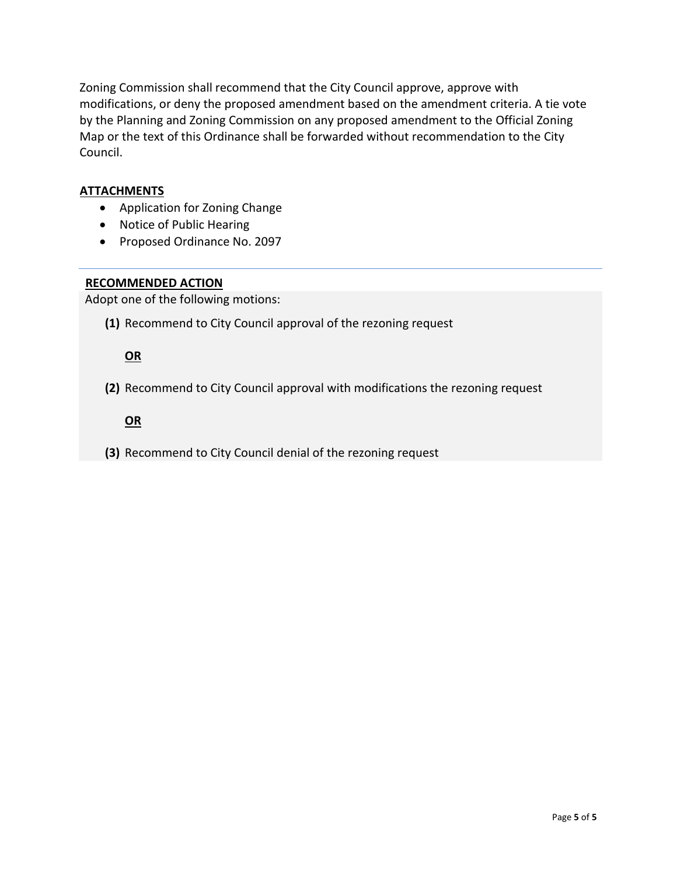Zoning Commission shall recommend that the City Council approve, approve with modifications, or deny the proposed amendment based on the amendment criteria. A tie vote by the Planning and Zoning Commission on any proposed amendment to the Official Zoning Map or the text of this Ordinance shall be forwarded without recommendation to the City Council.

#### **ATTACHMENTS**

- Application for Zoning Change
- Notice of Public Hearing
- Proposed Ordinance No. 2097

#### **RECOMMENDED ACTION**

Adopt one of the following motions:

**(1)** Recommend to City Council approval of the rezoning request

#### **OR**

**(2)** Recommend to City Council approval with modifications the rezoning request

#### **OR**

**(3)** Recommend to City Council denial of the rezoning request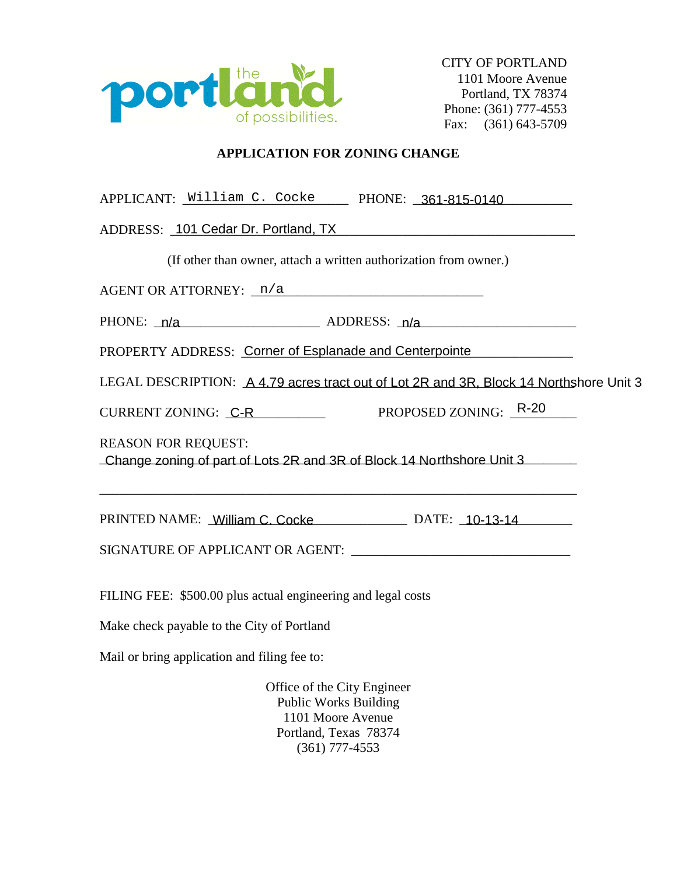

#### **APPLICATION FOR ZONING CHANGE**

| APPLICANT: William C. Cocke PHONE: 361-815-0140                                                     |  |  |  |  |  |
|-----------------------------------------------------------------------------------------------------|--|--|--|--|--|
| ADDRESS: 101 Cedar Dr. Portland, TX                                                                 |  |  |  |  |  |
| (If other than owner, attach a written authorization from owner.)                                   |  |  |  |  |  |
| $AGENT$ OR ATTORNEY: $n/a$                                                                          |  |  |  |  |  |
| PHONE: $n/a$ ADDRESS: $n/a$                                                                         |  |  |  |  |  |
| PROPERTY ADDRESS: Corner of Esplanade and Centerpointe                                              |  |  |  |  |  |
| LEGAL DESCRIPTION: A 4.79 acres tract out of Lot 2R and 3R, Block 14 Northshore Unit 3              |  |  |  |  |  |
| CURRENT ZONING: C-R PROPOSED ZONING: R-20                                                           |  |  |  |  |  |
| <b>REASON FOR REQUEST:</b><br>Change zoning of part of Lots 2R and 3R of Block 14 Northshore Unit 3 |  |  |  |  |  |
| PRINTED NAME: William C. Cocke DATE: 10-13-14                                                       |  |  |  |  |  |
|                                                                                                     |  |  |  |  |  |
| FILING FEE: \$500.00 plus actual engineering and legal costs                                        |  |  |  |  |  |

Make check payable to the City of Portland

Mail or bring application and filing fee to:

Office of the City Engineer Public Works Building 1101 Moore Avenue Portland, Texas 78374 (361) 777-4553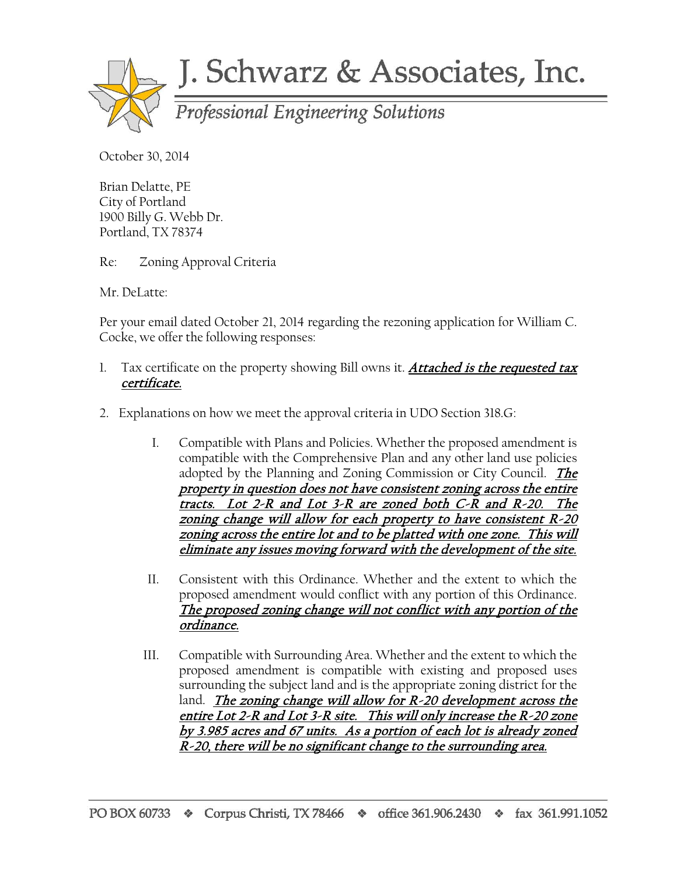

# J. Schwarz & Associates, Inc.

October 30, 2014

Brian Delatte, PE City of Portland 1900 Billy G. Webb Dr. Portland, TX 78374

Re: Zoning Approval Criteria

Mr. DeLatte:

Per your email dated October 21, 2014 regarding the rezoning application for William C. Cocke, we offer the following responses:

- 1. Tax certificate on the property showing Bill owns it. Attached is the requested tax certificate.
- 2. Explanations on how we meet the approval criteria in UDO Section 318.G:
	- I. Compatible with Plans and Policies. Whether the proposed amendment is compatible with the Comprehensive Plan and any other land use policies adopted by the Planning and Zoning Commission or City Council. The property in question does not have consistent zoning across the entire tracts. Lot 2-R and Lot 3-R are zoned both C-R and R-20. The zoning change will allow for each property to have consistent R-20 zoning across the entire lot and to be platted with one zone. This will eliminate any issues moving forward with the development of the site.
	- II. Consistent with this Ordinance. Whether and the extent to which the proposed amendment would conflict with any portion of this Ordinance. The proposed zoning change will not conflict with any portion of the ordinance.
	- III. Compatible with Surrounding Area. Whether and the extent to which the proposed amendment is compatible with existing and proposed uses surrounding the subject land and is the appropriate zoning district for the land. The zoning change will allow for  $R-20$  development across the entire Lot 2-R and Lot 3-R site. This will only increase the R-20 zone by 3.985 acres and 67 units. As a portion of each lot is already zoned R-20, there will be no significant change to the surrounding area.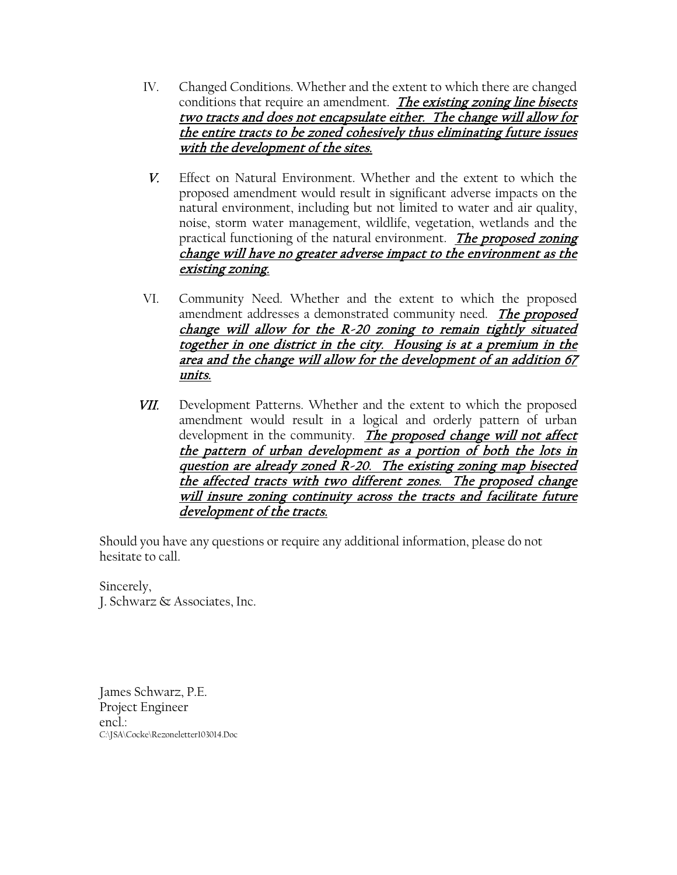- IV. Changed Conditions. Whether and the extent to which there are changed conditions that require an amendment. The existing zoning line bisects two tracts and does not encapsulate either. The change will allow for the entire tracts to be zoned cohesively thus eliminating future issues with the development of the sites.
- V. Effect on Natural Environment. Whether and the extent to which the proposed amendment would result in significant adverse impacts on the natural environment, including but not limited to water and air quality, noise, storm water management, wildlife, vegetation, wetlands and the practical functioning of the natural environment. The proposed zoning change will have no greater adverse impact to the environment as the existing zoning.
- VI. Community Need. Whether and the extent to which the proposed amendment addresses a demonstrated community need. The proposed change will allow for the  $R-20$  zoning to remain tightly situated together in one district in the city. Housing is at a premium in the area and the change will allow for the development of an addition 67 units.
- VII. Development Patterns. Whether and the extent to which the proposed amendment would result in a logical and orderly pattern of urban development in the community. *The proposed change will not affect* the pattern of urban development as a portion of both the lots in question are already zoned  $\bar{R}$ -20. The existing zoning map bisected the affected tracts with two different zones. The proposed change will insure zoning continuity across the tracts and facilitate future development of the tracts.

Should you have any questions or require any additional information, please do not hesitate to call.

Sincerely, J. Schwarz & Associates, Inc.

James Schwarz, P.E. Project Engineer encl.: C:\JSA\Cocke\Rezoneletter103014.Doc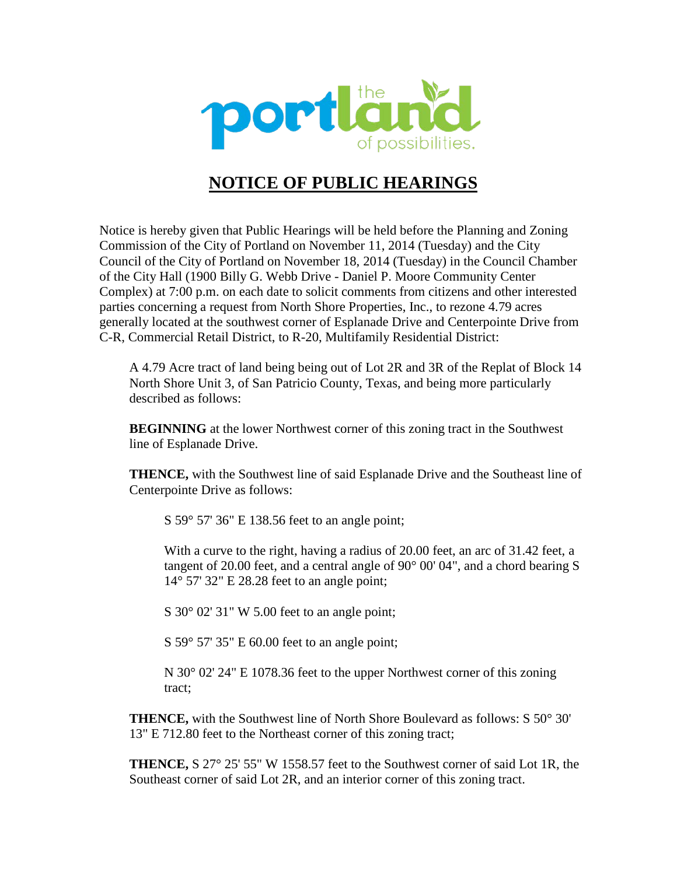

## **NOTICE OF PUBLIC HEARINGS**

Notice is hereby given that Public Hearings will be held before the Planning and Zoning Commission of the City of Portland on November 11, 2014 (Tuesday) and the City Council of the City of Portland on November 18, 2014 (Tuesday) in the Council Chamber of the City Hall (1900 Billy G. Webb Drive - Daniel P. Moore Community Center Complex) at 7:00 p.m. on each date to solicit comments from citizens and other interested parties concerning a request from North Shore Properties, Inc., to rezone 4.79 acres generally located at the southwest corner of Esplanade Drive and Centerpointe Drive from C-R, Commercial Retail District, to R-20, Multifamily Residential District:

A 4.79 Acre tract of land being being out of Lot 2R and 3R of the Replat of Block 14 North Shore Unit 3, of San Patricio County, Texas, and being more particularly described as follows:

**BEGINNING** at the lower Northwest corner of this zoning tract in the Southwest line of Esplanade Drive.

**THENCE,** with the Southwest line of said Esplanade Drive and the Southeast line of Centerpointe Drive as follows:

S 59° 57' 36" E 138.56 feet to an angle point;

With a curve to the right, having a radius of 20.00 feet, an arc of 31.42 feet, a tangent of 20.00 feet, and a central angle of  $90^{\circ}$  00' 04", and a chord bearing S 14° 57' 32" E 28.28 feet to an angle point;

S 30° 02' 31" W 5.00 feet to an angle point;

S 59° 57' 35" E 60.00 feet to an angle point;

N 30° 02' 24" E 1078.36 feet to the upper Northwest corner of this zoning tract;

**THENCE,** with the Southwest line of North Shore Boulevard as follows: S 50° 30' 13" E 712.80 feet to the Northeast corner of this zoning tract;

**THENCE,** S 27° 25' 55" W 1558.57 feet to the Southwest corner of said Lot 1R, the Southeast corner of said Lot 2R, and an interior corner of this zoning tract.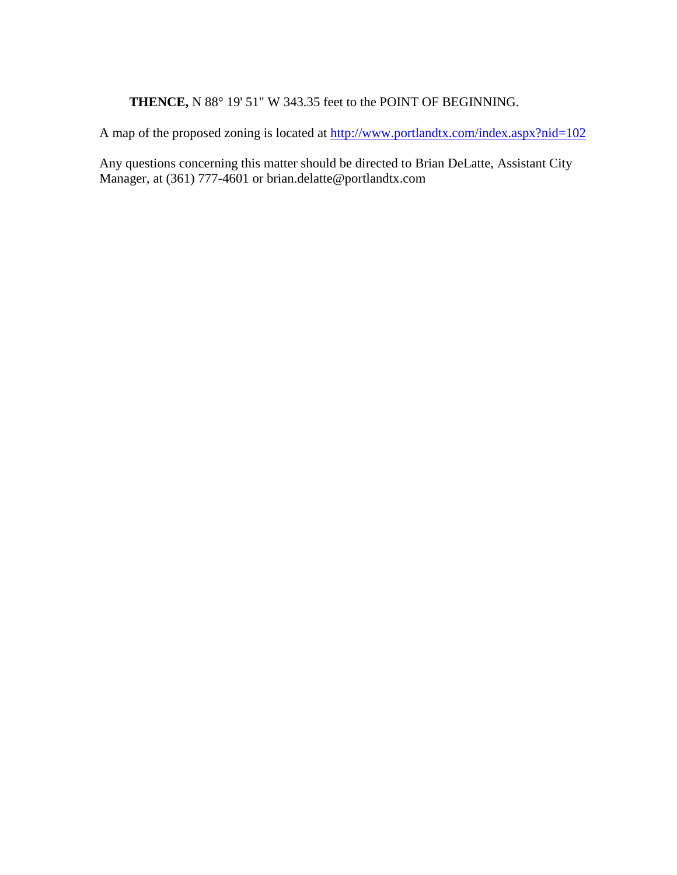### **THENCE,** N 88° 19' 51" W 343.35 feet to the POINT OF BEGINNING.

A map of the proposed zoning is located at http://www.portlandtx.com/index.aspx?nid=102

Any questions concerning this matter should be directed to Brian DeLatte, Assistant City Manager, at (361) 777-4601 or brian.delatte@portlandtx.com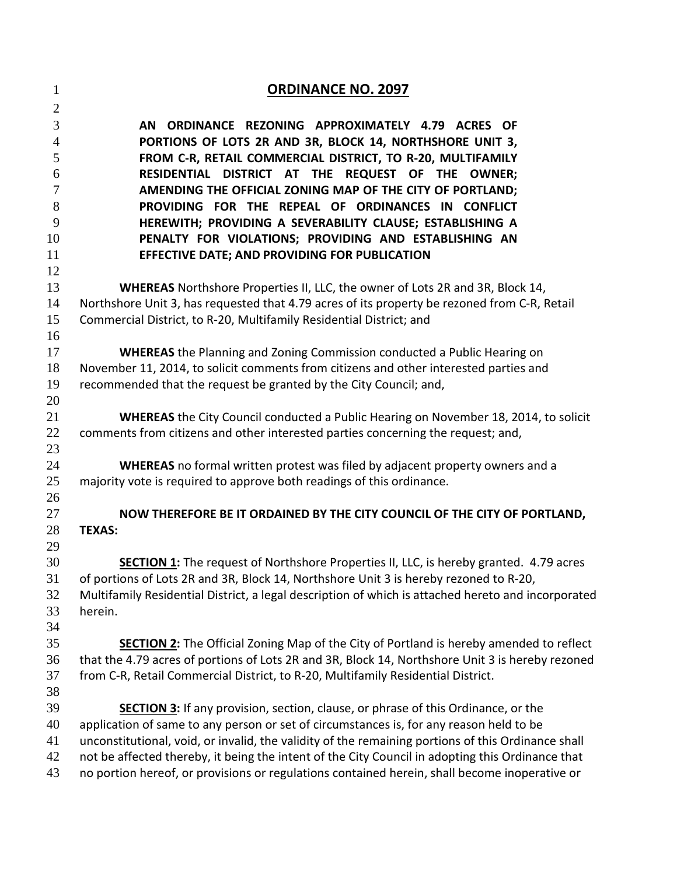| $\mathbf{1}$   | <b>ORDINANCE NO. 2097</b>                                                                          |
|----------------|----------------------------------------------------------------------------------------------------|
| $\overline{2}$ |                                                                                                    |
| 3              | AN ORDINANCE REZONING APPROXIMATELY 4.79 ACRES OF                                                  |
| $\overline{4}$ | PORTIONS OF LOTS 2R AND 3R, BLOCK 14, NORTHSHORE UNIT 3,                                           |
| 5              | FROM C-R, RETAIL COMMERCIAL DISTRICT, TO R-20, MULTIFAMILY                                         |
| 6              | RESIDENTIAL DISTRICT AT THE REQUEST OF THE OWNER;                                                  |
| 7              | AMENDING THE OFFICIAL ZONING MAP OF THE CITY OF PORTLAND;                                          |
| 8              | PROVIDING FOR THE REPEAL OF ORDINANCES IN CONFLICT                                                 |
| 9              | HEREWITH; PROVIDING A SEVERABILITY CLAUSE; ESTABLISHING A                                          |
| 10             | PENALTY FOR VIOLATIONS; PROVIDING AND ESTABLISHING AN                                              |
| 11             | EFFECTIVE DATE; AND PROVIDING FOR PUBLICATION                                                      |
| 12<br>13       | WHEREAS Northshore Properties II, LLC, the owner of Lots 2R and 3R, Block 14,                      |
| 14             | Northshore Unit 3, has requested that 4.79 acres of its property be rezoned from C-R, Retail       |
| 15             | Commercial District, to R-20, Multifamily Residential District; and                                |
| 16             |                                                                                                    |
| 17             | <b>WHEREAS</b> the Planning and Zoning Commission conducted a Public Hearing on                    |
| 18             | November 11, 2014, to solicit comments from citizens and other interested parties and              |
| 19             | recommended that the request be granted by the City Council; and,                                  |
| 20             |                                                                                                    |
| 21             | <b>WHEREAS</b> the City Council conducted a Public Hearing on November 18, 2014, to solicit        |
| 22             | comments from citizens and other interested parties concerning the request; and,                   |
| 23             |                                                                                                    |
| 24             | <b>WHEREAS</b> no formal written protest was filed by adjacent property owners and a               |
| 25             | majority vote is required to approve both readings of this ordinance.                              |
| 26             |                                                                                                    |
| 27             | NOW THEREFORE BE IT ORDAINED BY THE CITY COUNCIL OF THE CITY OF PORTLAND,                          |
| 28<br>29       | <b>TEXAS:</b>                                                                                      |
| 30             | <b>SECTION 1:</b> The request of Northshore Properties II, LLC, is hereby granted. 4.79 acres      |
| 31             | of portions of Lots 2R and 3R, Block 14, Northshore Unit 3 is hereby rezoned to R-20,              |
| 32             | Multifamily Residential District, a legal description of which is attached hereto and incorporated |
| 33             | herein.                                                                                            |
| 34             |                                                                                                    |
| 35             | <b>SECTION 2:</b> The Official Zoning Map of the City of Portland is hereby amended to reflect     |
| 36             | that the 4.79 acres of portions of Lots 2R and 3R, Block 14, Northshore Unit 3 is hereby rezoned   |
| 37             | from C-R, Retail Commercial District, to R-20, Multifamily Residential District.                   |
| 38             |                                                                                                    |
| 39             | <b>SECTION 3:</b> If any provision, section, clause, or phrase of this Ordinance, or the           |
| 40             | application of same to any person or set of circumstances is, for any reason held to be            |
| 41             | unconstitutional, void, or invalid, the validity of the remaining portions of this Ordinance shall |
| 42             | not be affected thereby, it being the intent of the City Council in adopting this Ordinance that   |
| 43             | no portion hereof, or provisions or regulations contained herein, shall become inoperative or      |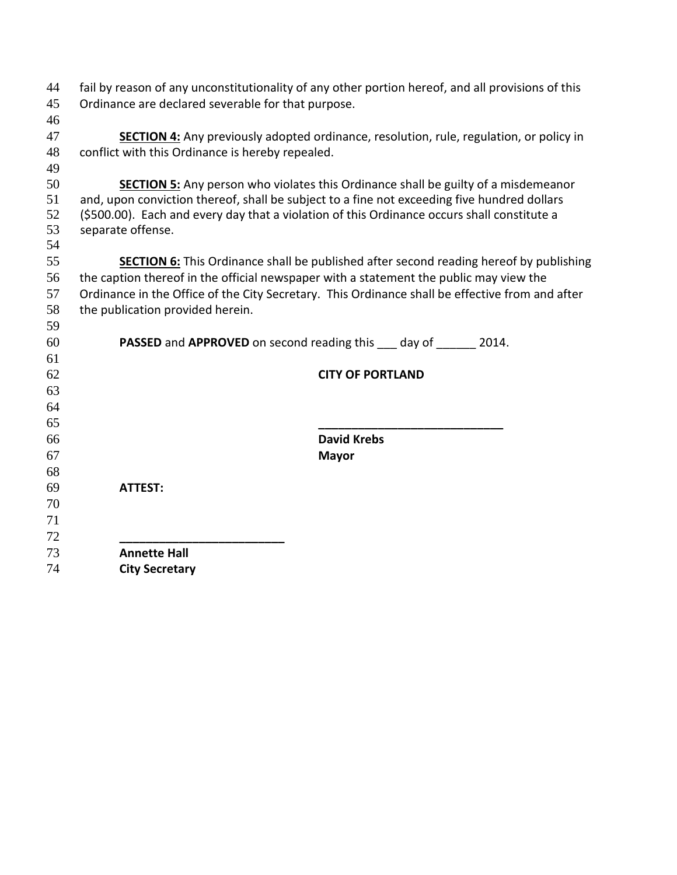| 44 | fail by reason of any unconstitutionality of any other portion hereof, and all provisions of this |                                                                                                |  |  |
|----|---------------------------------------------------------------------------------------------------|------------------------------------------------------------------------------------------------|--|--|
| 45 | Ordinance are declared severable for that purpose.                                                |                                                                                                |  |  |
| 46 |                                                                                                   |                                                                                                |  |  |
| 47 |                                                                                                   | <b>SECTION 4:</b> Any previously adopted ordinance, resolution, rule, regulation, or policy in |  |  |
| 48 | conflict with this Ordinance is hereby repealed.                                                  |                                                                                                |  |  |
| 49 |                                                                                                   |                                                                                                |  |  |
| 50 |                                                                                                   | <b>SECTION 5:</b> Any person who violates this Ordinance shall be guilty of a misdemeanor      |  |  |
| 51 | and, upon conviction thereof, shall be subject to a fine not exceeding five hundred dollars       |                                                                                                |  |  |
| 52 | (\$500.00). Each and every day that a violation of this Ordinance occurs shall constitute a       |                                                                                                |  |  |
| 53 | separate offense.                                                                                 |                                                                                                |  |  |
| 54 |                                                                                                   |                                                                                                |  |  |
| 55 |                                                                                                   | <b>SECTION 6:</b> This Ordinance shall be published after second reading hereof by publishing  |  |  |
| 56 | the caption thereof in the official newspaper with a statement the public may view the            |                                                                                                |  |  |
| 57 | Ordinance in the Office of the City Secretary. This Ordinance shall be effective from and after   |                                                                                                |  |  |
| 58 | the publication provided herein.                                                                  |                                                                                                |  |  |
| 59 |                                                                                                   |                                                                                                |  |  |
| 60 |                                                                                                   | <b>PASSED</b> and <b>APPROVED</b> on second reading this day of 2014.                          |  |  |
| 61 |                                                                                                   |                                                                                                |  |  |
| 62 |                                                                                                   | <b>CITY OF PORTLAND</b>                                                                        |  |  |
| 63 |                                                                                                   |                                                                                                |  |  |
| 64 |                                                                                                   |                                                                                                |  |  |
| 65 |                                                                                                   |                                                                                                |  |  |
| 66 |                                                                                                   | <b>David Krebs</b>                                                                             |  |  |
| 67 |                                                                                                   | <b>Mayor</b>                                                                                   |  |  |
| 68 |                                                                                                   |                                                                                                |  |  |
| 69 | <b>ATTEST:</b>                                                                                    |                                                                                                |  |  |
| 70 |                                                                                                   |                                                                                                |  |  |
| 71 |                                                                                                   |                                                                                                |  |  |
| 72 |                                                                                                   |                                                                                                |  |  |
| 73 | <b>Annette Hall</b>                                                                               |                                                                                                |  |  |
| 74 | <b>City Secretary</b>                                                                             |                                                                                                |  |  |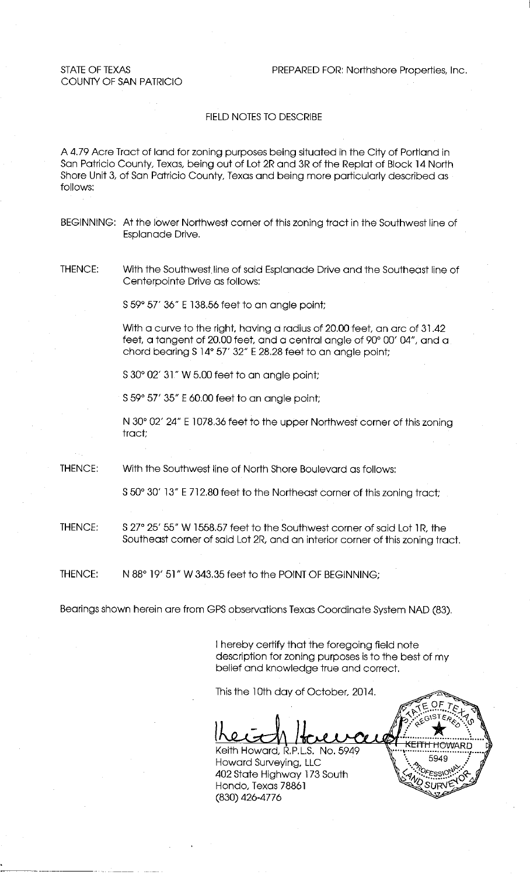**STATE OF TEXAS** COUNTY OF SAN PATRICIO PREPARED FOR: Northshore Properties, Inc.

#### FIELD NOTES TO DESCRIBE

A 4.79 Acre Tract of land for zoning purposes being situated in the City of Portland in San Patricio County, Texas, being out of Lot 2R and 3R of the Replat of Block 14 North Shore Unit 3, of San Patricio County, Texas and being more particularly described as follows:

- BEGINNING: At the lower Northwest corner of this zoning tract in the Southwest line of Esplanade Drive.
- THENCE: With the Southwest line of said Esplanade Drive and the Southeast line of Centerpointe Drive as follows:

S 59° 57' 36" E 138.56 feet to an angle point;

With a curve to the right, having a radius of 20.00 feet, an arc of 31.42 feet, a tangent of 20.00 feet, and a central angle of 90° 00' 04", and a chord bearing \$14° 57' 32" E 28.28 feet to an angle point;

S 30° 02' 31" W 5.00 feet to an angle point;

S 59° 57' 35" E 60.00 feet to an angle point;

N 30° 02' 24" E 1078.36 feet to the upper Northwest corner of this zoning tract;

THENCE: With the Southwest line of North Shore Boulevard as follows:

S 50° 30′ 13″ E 712.80 feet to the Northeast corner of this zoning tract;

- S 27° 25' 55" W 1558.57 feet to the Southwest corner of said Lot 1R, the THENCE: Southeast corner of said Lot 2R, and an interior corner of this zoning tract.
- THENCE: N 88° 19' 51" W 343.35 feet to the POINT OF BEGINNING;

Bearings shown herein are from GPS observations Texas Coordinate System NAD (83).

I hereby certify that the foregoing field note description for zoning purposes is to the best of my belief and knowledge true and correct.

This the 10th day of October, 2014.

Keith Howard, R.P.L.S. No. 5949 Howard Surveying, LLC 402 State Highway 173 South Hondo, Texas 78861 (830) 426-4776

SLIRV